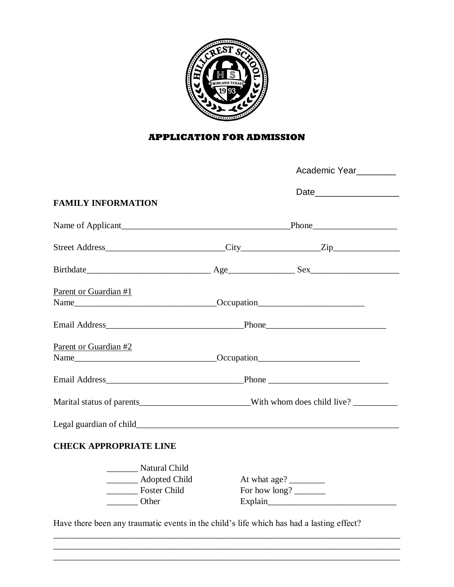

### **APPLICATION FOR ADMISSION**

|                                                                                                           | Academic Year  _________                                                          |                                                    |  |  |  |  |
|-----------------------------------------------------------------------------------------------------------|-----------------------------------------------------------------------------------|----------------------------------------------------|--|--|--|--|
| <b>FAMILY INFORMATION</b>                                                                                 |                                                                                   |                                                    |  |  |  |  |
|                                                                                                           |                                                                                   |                                                    |  |  |  |  |
|                                                                                                           |                                                                                   |                                                    |  |  |  |  |
|                                                                                                           |                                                                                   |                                                    |  |  |  |  |
| Parent or Guardian #1                                                                                     |                                                                                   |                                                    |  |  |  |  |
|                                                                                                           |                                                                                   |                                                    |  |  |  |  |
| Parent or Guardian #2<br>Name___________________________________Occupation_______________________________ |                                                                                   |                                                    |  |  |  |  |
|                                                                                                           |                                                                                   |                                                    |  |  |  |  |
|                                                                                                           | Marital status of parents______________________________With whom does child live? |                                                    |  |  |  |  |
|                                                                                                           |                                                                                   |                                                    |  |  |  |  |
| <b>CHECK APPROPRIATE LINE</b>                                                                             |                                                                                   |                                                    |  |  |  |  |
| ________ Natural Child<br>Adopted Child<br>Foster Child<br>Other                                          |                                                                                   | At what age? $\frac{2}{\sqrt{2}}$<br>For how long? |  |  |  |  |

Have there been any traumatic events in the child's life which has had a lasting effect?

\_\_\_\_\_\_\_\_\_\_\_\_\_\_\_\_\_\_\_\_\_\_\_\_\_\_\_\_\_\_\_\_\_\_\_\_\_\_\_\_\_\_\_\_\_\_\_\_\_\_\_\_\_\_\_\_\_\_\_\_\_\_\_\_\_\_\_\_\_\_\_\_\_\_\_\_\_\_ \_\_\_\_\_\_\_\_\_\_\_\_\_\_\_\_\_\_\_\_\_\_\_\_\_\_\_\_\_\_\_\_\_\_\_\_\_\_\_\_\_\_\_\_\_\_\_\_\_\_\_\_\_\_\_\_\_\_\_\_\_\_\_\_\_\_\_\_\_\_\_\_\_\_\_\_\_\_ \_\_\_\_\_\_\_\_\_\_\_\_\_\_\_\_\_\_\_\_\_\_\_\_\_\_\_\_\_\_\_\_\_\_\_\_\_\_\_\_\_\_\_\_\_\_\_\_\_\_\_\_\_\_\_\_\_\_\_\_\_\_\_\_\_\_\_\_\_\_\_\_\_\_\_\_\_\_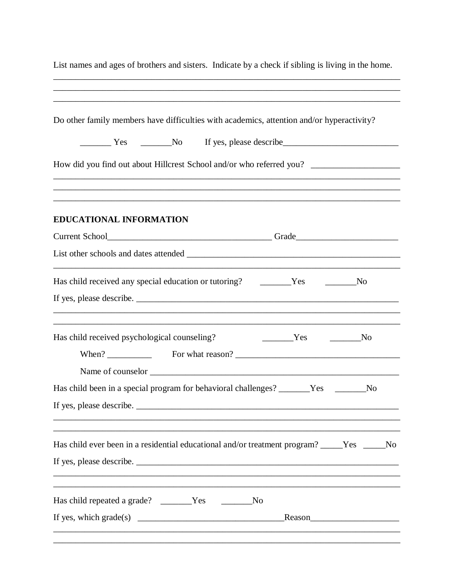| Do other family members have difficulties with academics, attention and/or hyperactivity?<br>The Yes The No If yes, please describe<br>How did you find out about Hillcrest School and/or who referred you? _______________________________<br>,我们也不会有什么。""我们的人,我们也不会有什么?""我们的人,我们也不会有什么?""我们的人,我们也不会有什么?""我们的人,我们也不会有什么?""我们的人<br>EDUCATIONAL INFORMATION<br>Current School<br><u>Current School</u><br><u> 1989 - Johann Stoff, amerikansk politiker (* 1908)</u><br>Has child received any special education or tutoring? The Task Conservation of the Vesterman Message<br>No<br>,我们也不能在这里的时候,我们也不能在这里的时候,我们也不能会在这里的时候,我们也不能会在这里的时候,我们也不能会在这里的时候,我们也不能会在这里的时候,我们也不<br>Has child received psychological counseling?<br>$Yes$ No<br>No<br>Has child ever been in a residential educational and/or treatment program? _____Yes _____No<br>,我们也不能在这里的时候,我们也不能在这里的时候,我们也不能会在这里的时候,我们也不能会在这里的时候,我们也不能会在这里的时候,我们也不能会在这里的时候,我们也不<br>Has child repeated a grade? _______Yes _______No | List names and ages of brothers and sisters. Indicate by a check if sibling is living in the home. |  |  |  |  |  |  |  |
|----------------------------------------------------------------------------------------------------------------------------------------------------------------------------------------------------------------------------------------------------------------------------------------------------------------------------------------------------------------------------------------------------------------------------------------------------------------------------------------------------------------------------------------------------------------------------------------------------------------------------------------------------------------------------------------------------------------------------------------------------------------------------------------------------------------------------------------------------------------------------------------------------------------------------------------------------------------------------------|----------------------------------------------------------------------------------------------------|--|--|--|--|--|--|--|
|                                                                                                                                                                                                                                                                                                                                                                                                                                                                                                                                                                                                                                                                                                                                                                                                                                                                                                                                                                                  |                                                                                                    |  |  |  |  |  |  |  |
|                                                                                                                                                                                                                                                                                                                                                                                                                                                                                                                                                                                                                                                                                                                                                                                                                                                                                                                                                                                  |                                                                                                    |  |  |  |  |  |  |  |
|                                                                                                                                                                                                                                                                                                                                                                                                                                                                                                                                                                                                                                                                                                                                                                                                                                                                                                                                                                                  |                                                                                                    |  |  |  |  |  |  |  |
|                                                                                                                                                                                                                                                                                                                                                                                                                                                                                                                                                                                                                                                                                                                                                                                                                                                                                                                                                                                  |                                                                                                    |  |  |  |  |  |  |  |
|                                                                                                                                                                                                                                                                                                                                                                                                                                                                                                                                                                                                                                                                                                                                                                                                                                                                                                                                                                                  |                                                                                                    |  |  |  |  |  |  |  |
|                                                                                                                                                                                                                                                                                                                                                                                                                                                                                                                                                                                                                                                                                                                                                                                                                                                                                                                                                                                  |                                                                                                    |  |  |  |  |  |  |  |
|                                                                                                                                                                                                                                                                                                                                                                                                                                                                                                                                                                                                                                                                                                                                                                                                                                                                                                                                                                                  |                                                                                                    |  |  |  |  |  |  |  |
|                                                                                                                                                                                                                                                                                                                                                                                                                                                                                                                                                                                                                                                                                                                                                                                                                                                                                                                                                                                  |                                                                                                    |  |  |  |  |  |  |  |
|                                                                                                                                                                                                                                                                                                                                                                                                                                                                                                                                                                                                                                                                                                                                                                                                                                                                                                                                                                                  |                                                                                                    |  |  |  |  |  |  |  |
|                                                                                                                                                                                                                                                                                                                                                                                                                                                                                                                                                                                                                                                                                                                                                                                                                                                                                                                                                                                  |                                                                                                    |  |  |  |  |  |  |  |
| Has child been in a special program for behavioral challenges? _______Yes _____                                                                                                                                                                                                                                                                                                                                                                                                                                                                                                                                                                                                                                                                                                                                                                                                                                                                                                  |                                                                                                    |  |  |  |  |  |  |  |
|                                                                                                                                                                                                                                                                                                                                                                                                                                                                                                                                                                                                                                                                                                                                                                                                                                                                                                                                                                                  |                                                                                                    |  |  |  |  |  |  |  |
|                                                                                                                                                                                                                                                                                                                                                                                                                                                                                                                                                                                                                                                                                                                                                                                                                                                                                                                                                                                  |                                                                                                    |  |  |  |  |  |  |  |
|                                                                                                                                                                                                                                                                                                                                                                                                                                                                                                                                                                                                                                                                                                                                                                                                                                                                                                                                                                                  |                                                                                                    |  |  |  |  |  |  |  |
|                                                                                                                                                                                                                                                                                                                                                                                                                                                                                                                                                                                                                                                                                                                                                                                                                                                                                                                                                                                  |                                                                                                    |  |  |  |  |  |  |  |
|                                                                                                                                                                                                                                                                                                                                                                                                                                                                                                                                                                                                                                                                                                                                                                                                                                                                                                                                                                                  |                                                                                                    |  |  |  |  |  |  |  |
|                                                                                                                                                                                                                                                                                                                                                                                                                                                                                                                                                                                                                                                                                                                                                                                                                                                                                                                                                                                  |                                                                                                    |  |  |  |  |  |  |  |
| Reason<br><u>Reason</u>                                                                                                                                                                                                                                                                                                                                                                                                                                                                                                                                                                                                                                                                                                                                                                                                                                                                                                                                                          |                                                                                                    |  |  |  |  |  |  |  |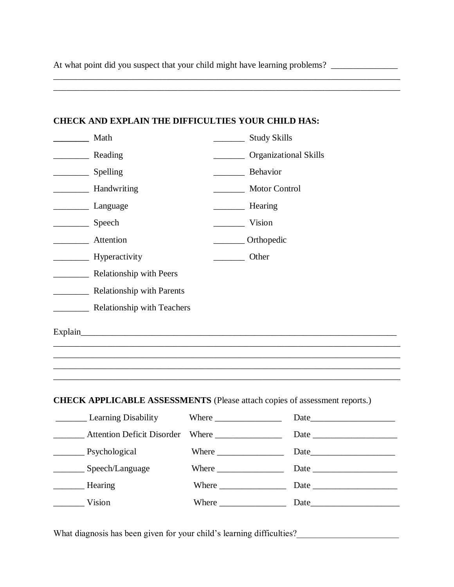At what point did you suspect that your child might have learning problems? \_\_\_\_\_\_\_\_\_\_\_\_\_\_\_\_\_\_\_\_\_\_\_\_\_\_\_\_\_\_\_\_\_\_

\_\_\_\_\_\_\_\_\_\_\_\_\_\_\_\_\_\_\_\_\_\_\_\_\_\_\_\_\_\_\_\_\_\_\_\_\_\_\_\_\_\_\_\_\_\_\_\_\_\_\_\_\_\_\_\_\_\_\_\_\_\_\_\_\_\_\_\_\_\_\_\_\_\_\_\_\_\_

| <b>CHECK AND EXPLAIN THE DIFFICULTIES YOUR CHILD HAS:</b> |                                                                                   |
|-----------------------------------------------------------|-----------------------------------------------------------------------------------|
| Math                                                      | ___________ Study Skills                                                          |
| Reading                                                   | Organizational Skills                                                             |
|                                                           | Behavior                                                                          |
| <b>Handwriting</b>                                        | Motor Control                                                                     |
| Language                                                  | Hearing                                                                           |
| Speech                                                    | Vision                                                                            |
| <b>Attention</b>                                          | Orthopedic                                                                        |
| Hyperactivity                                             | Other                                                                             |
| <b>Example 21 Relationship with Peers</b>                 |                                                                                   |
| Relationship with Parents                                 |                                                                                   |
| <b>Example 2.1 Relationship with Teachers</b>             |                                                                                   |
|                                                           | ,我们也不能在这里的时候,我们也不能在这里的时候,我们也不能不能不能不能不能不能不能不能不能不能不能不能不能不能不能。""我们不能不能不能不能不能不能不能不能不能 |
|                                                           | <b>CHECK APPLICABLE ASSESSMENTS</b> (Please attach copies of assessment reports.) |
|                                                           | Attention Deficit Disorder Where _______________ Date ___________________________ |
|                                                           | Psychological Where Date                                                          |
| Speech/Language                                           |                                                                                   |
| Hearing                                                   |                                                                                   |
| Vision                                                    |                                                                                   |

What diagnosis has been given for your child's learning difficulties?\_\_\_\_\_\_\_\_\_\_\_\_\_\_\_\_\_\_\_\_\_\_\_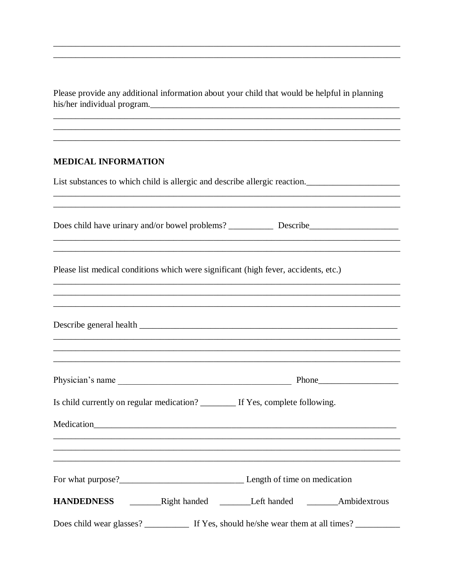Please provide any additional information about your child that would be helpful in planning his/her individual program.

#### **MEDICAL INFORMATION**

List substances to which child is allergic and describe allergic reaction.

| Please list medical conditions which were significant (high fever, accidents, etc.)                                                                                            |
|--------------------------------------------------------------------------------------------------------------------------------------------------------------------------------|
| ,我们也不会有什么。""我们的人,我们也不会有什么?""我们的人,我们也不会有什么?""我们的人,我们也不会有什么?""我们的人,我们也不会有什么?""我们的人                                                                                               |
|                                                                                                                                                                                |
| Is child currently on regular medication? _________ If Yes, complete following.<br>,我们也不能在这里的时候,我们也不能在这里的时候,我们也不能会在这里的时候,我们也不能会在这里的时候,我们也不能会在这里的时候,我们也不能会在这里的时候,我们也不           |
|                                                                                                                                                                                |
| HANDEDNESS _________Right handed _________Left handed ________Ambidextrous<br>Does child wear glasses? ____________ If Yes, should he/she wear them at all times? ____________ |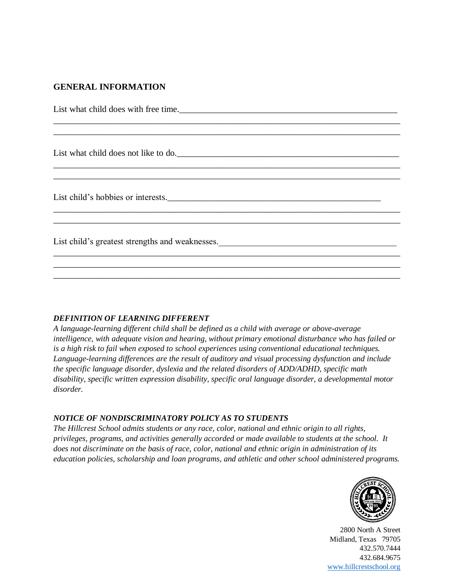### **GENERAL INFORMATION**

| List what child does with free time.                                                                      |
|-----------------------------------------------------------------------------------------------------------|
|                                                                                                           |
| List what child does not like to do.                                                                      |
|                                                                                                           |
| List child's hobbies or interests.                                                                        |
|                                                                                                           |
| List child's greatest strengths and weaknesses.<br><u>List</u> child's greatest strengths and weaknesses. |
|                                                                                                           |
|                                                                                                           |

#### *DEFINITION OF LEARNING DIFFERENT*

*A language-learning different child shall be defined as a child with average or above-average intelligence, with adequate vision and hearing, without primary emotional disturbance who has failed or is a high risk to fail when exposed to school experiences using conventional educational techniques. Language-learning differences are the result of auditory and visual processing dysfunction and include the specific language disorder, dyslexia and the related disorders of ADD/ADHD, specific math disability, specific written expression disability, specific oral language disorder, a developmental motor disorder.*

#### *NOTICE OF NONDISCRIMINATORY POLICY AS TO STUDENTS*

*The Hillcrest School admits students or any race, color, national and ethnic origin to all rights, privileges, programs, and activities generally accorded or made available to students at the school. It does not discriminate on the basis of race, color, national and ethnic origin in administration of its education policies, scholarship and loan programs, and athletic and other school administered programs.*



2800 North A Street Midland, Texas 79705 432.570.7444 432.684.9675 [www.hillcrestschool.org](http://www.hillcrestschool.org/)